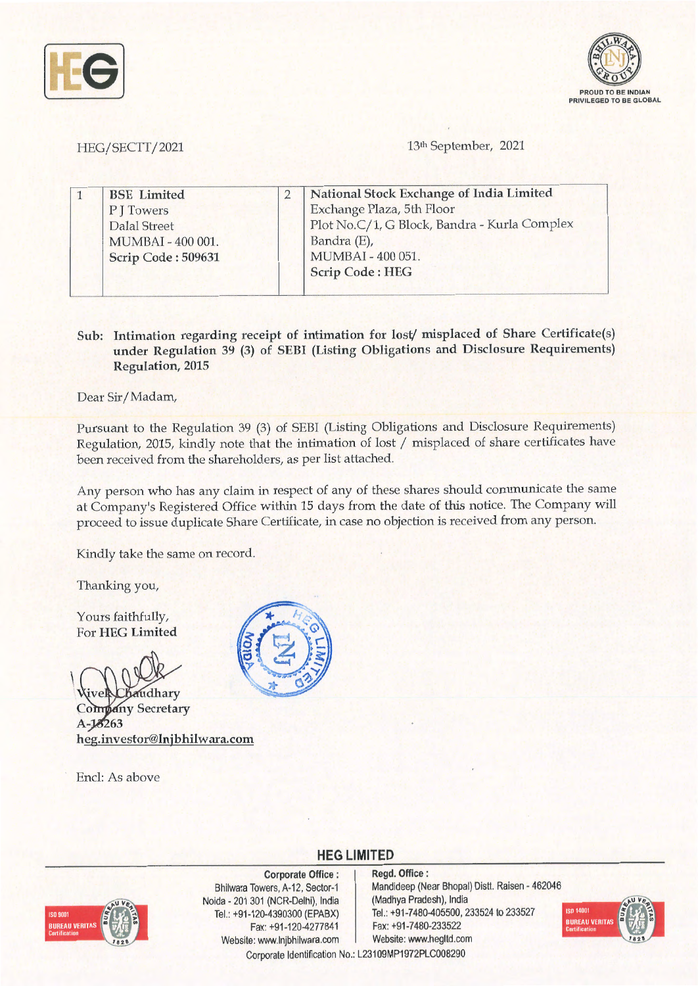



HEG/SECTT/2021

13<sup>th</sup> September, 2021

| <b>BSE</b> Limited | National Stock Exchange of India Limited     |
|--------------------|----------------------------------------------|
| P J Towers         | Exchange Plaza, 5th Floor                    |
| Dalal Street       | Plot No.C/1, G Block, Bandra - Kurla Complex |
| MUMBAI - 400 001.  | Bandra (E),                                  |
| Scrip Code: 509631 | MUMBAI - 400 051.                            |
|                    | <b>Scrip Code: HEG</b>                       |

## **Sub: Intimation regarding receipt of intimation for lost/ misplaced of Share Certificate(s) under Regulation 39 (3) of SEBI (Listing Obligations and Disclosure Requirements) Regulation, 2015**

Dear Sir/ Madam,

Pursuant to the Regulation 39 (3) of SEBI (Listing Obligations and Disclosure Requirements) Regulation, 2015, kindly note that the intimation of lost/ misplaced of share certificates have been received from the shareholders, as per list attached.

Any person who has any claim in respect of any of these shares should communicate the same at Company's Registered Office within 15 days from the date of this notice. The Company will proceed to issue duplicate Share Certificate, in case no objection is received from any person.

Kindly take the same on record.

Thanking you,

Yours faithfully, For **HEG Limited** 

 $\begin{array}{c} \hline \end{array}$ 

audhary *<u>retary</u>* A-13263 **heg.investor@lnjbhilwara.com** 

Encl: As above



**HEG LIMITED** 



**Corporate Office** : Bhilwara Towers, A-12, Sector-1 Naida • 201 301 (NCR-Delhi), India Tel.: +91-120-4390300 (EPABX) Fax: +91-120-4277841 Website: www.lnjbhilwara.com | Website: www.hegltd.com

**Regd. Office** : Mandideep (Near Bhopal) Distt. Raisen • 462046 (Madhya Pradesh), India Tel.: +91-7480-405500, 233524 to 233527 Fax:+91-7480-233522



Corporate Identification No.: L23109MP1972PLC008290